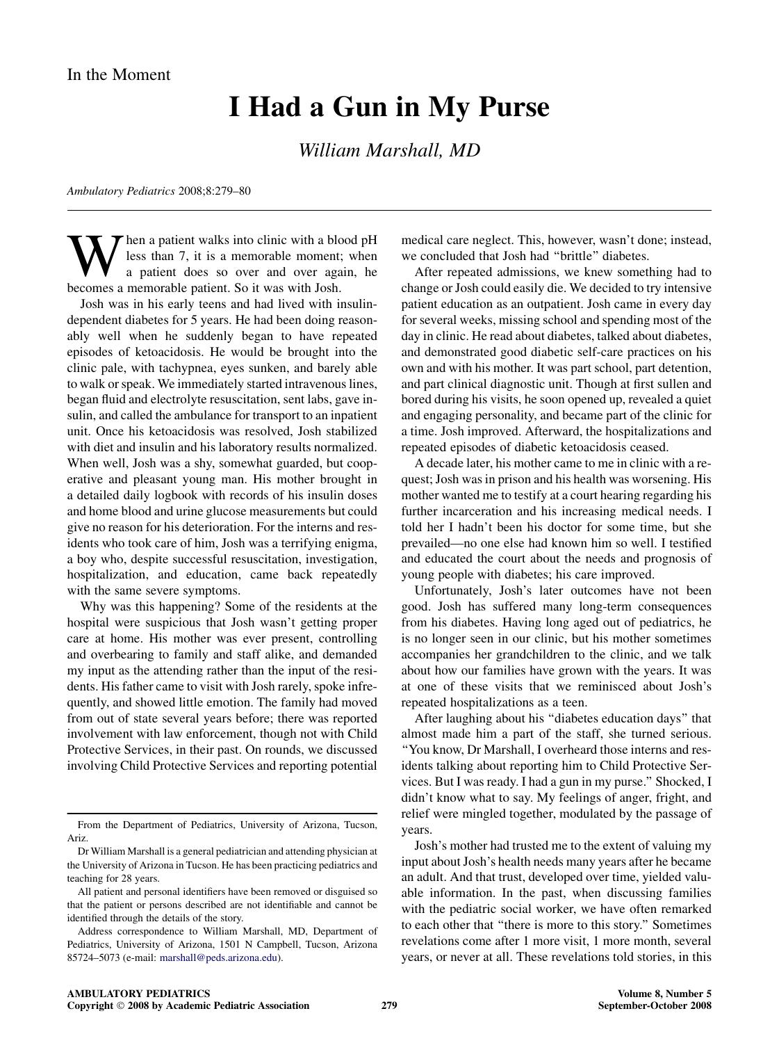## I Had a Gun in My Purse

William Marshall, MD

Ambulatory Pediatrics 2008;8:279–80

hen a patient walks into clinic with a blood pH less than 7, it is a memorable moment; when a patient does so over and over again, he becomes a memorable patient. So it was with Josh.

Josh was in his early teens and had lived with insulindependent diabetes for 5 years. He had been doing reasonably well when he suddenly began to have repeated episodes of ketoacidosis. He would be brought into the clinic pale, with tachypnea, eyes sunken, and barely able to walk or speak. We immediately started intravenous lines, began fluid and electrolyte resuscitation, sent labs, gave insulin, and called the ambulance for transport to an inpatient unit. Once his ketoacidosis was resolved, Josh stabilized with diet and insulin and his laboratory results normalized. When well, Josh was a shy, somewhat guarded, but cooperative and pleasant young man. His mother brought in a detailed daily logbook with records of his insulin doses and home blood and urine glucose measurements but could give no reason for his deterioration. For the interns and residents who took care of him, Josh was a terrifying enigma, a boy who, despite successful resuscitation, investigation, hospitalization, and education, came back repeatedly with the same severe symptoms.

Why was this happening? Some of the residents at the hospital were suspicious that Josh wasn't getting proper care at home. His mother was ever present, controlling and overbearing to family and staff alike, and demanded my input as the attending rather than the input of the residents. His father came to visit with Josh rarely, spoke infrequently, and showed little emotion. The family had moved from out of state several years before; there was reported involvement with law enforcement, though not with Child Protective Services, in their past. On rounds, we discussed involving Child Protective Services and reporting potential

medical care neglect. This, however, wasn't done; instead, we concluded that Josh had ''brittle'' diabetes.

After repeated admissions, we knew something had to change or Josh could easily die. We decided to try intensive patient education as an outpatient. Josh came in every day for several weeks, missing school and spending most of the day in clinic. He read about diabetes, talked about diabetes, and demonstrated good diabetic self-care practices on his own and with his mother. It was part school, part detention, and part clinical diagnostic unit. Though at first sullen and bored during his visits, he soon opened up, revealed a quiet and engaging personality, and became part of the clinic for a time. Josh improved. Afterward, the hospitalizations and repeated episodes of diabetic ketoacidosis ceased.

A decade later, his mother came to me in clinic with a request; Josh was in prison and his health was worsening. His mother wanted me to testify at a court hearing regarding his further incarceration and his increasing medical needs. I told her I hadn't been his doctor for some time, but she prevailed—no one else had known him so well. I testified and educated the court about the needs and prognosis of young people with diabetes; his care improved.

Unfortunately, Josh's later outcomes have not been good. Josh has suffered many long-term consequences from his diabetes. Having long aged out of pediatrics, he is no longer seen in our clinic, but his mother sometimes accompanies her grandchildren to the clinic, and we talk about how our families have grown with the years. It was at one of these visits that we reminisced about Josh's repeated hospitalizations as a teen.

After laughing about his ''diabetes education days'' that almost made him a part of the staff, she turned serious. ''You know, Dr Marshall, I overheard those interns and residents talking about reporting him to Child Protective Services. But I was ready. I had a gun in my purse.'' Shocked, I didn't know what to say. My feelings of anger, fright, and relief were mingled together, modulated by the passage of years.

Josh's mother had trusted me to the extent of valuing my input about Josh's health needs many years after he became an adult. And that trust, developed over time, yielded valuable information. In the past, when discussing families with the pediatric social worker, we have often remarked to each other that ''there is more to this story.'' Sometimes revelations come after 1 more visit, 1 more month, several years, or never at all. These revelations told stories, in this

From the Department of Pediatrics, University of Arizona, Tucson, Ariz.

Dr William Marshall is a general pediatrician and attending physician at the University of Arizona in Tucson. He has been practicing pediatrics and teaching for 28 years.

All patient and personal identifiers have been removed or disguised so that the patient or persons described are not identifiable and cannot be identified through the details of the story.

Address correspondence to William Marshall, MD, Department of Pediatrics, University of Arizona, 1501 N Campbell, Tucson, Arizona 85724–5073 (e-mail: [marshall@peds.arizona.edu](mailto:marshall@peds.arizona.edu)).